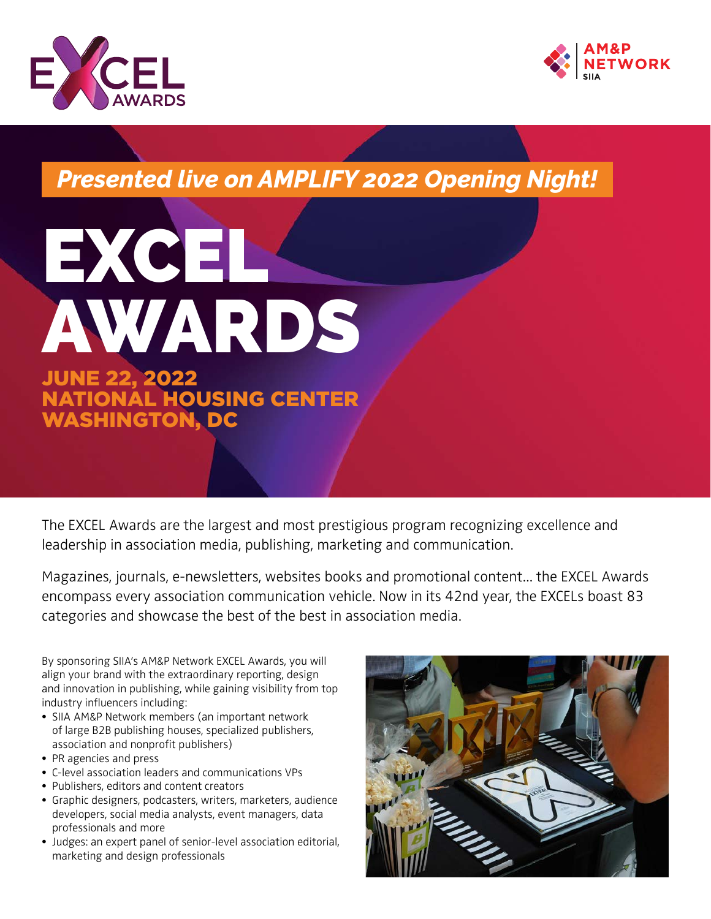



*Presented live on AMPLIFY 2022 Opening Night!*



WASHINGTON

The EXCEL Awards are the largest and most prestigious program recognizing excellence and leadership in association media, publishing, marketing and communication.

Magazines, journals, e-newsletters, websites books and promotional content... the EXCEL Awards encompass every association communication vehicle. Now in its 42nd year, the EXCELs boast 83 categories and showcase the best of the best in association media.

By sponsoring SIIA's AM&P Network EXCEL Awards, you will align your brand with the extraordinary reporting, design and innovation in publishing, while gaining visibility from top industry influencers including:

- SIIA AM&P Network members (an important network of large B2B publishing houses, specialized publishers, association and nonprofit publishers)
- PR agencies and press
- C-level association leaders and communications VPs
- Publishers, editors and content creators
- Graphic designers, podcasters, writers, marketers, audience developers, social media analysts, event managers, data professionals and more
- Judges: an expert panel of senior-level association editorial, marketing and design professionals

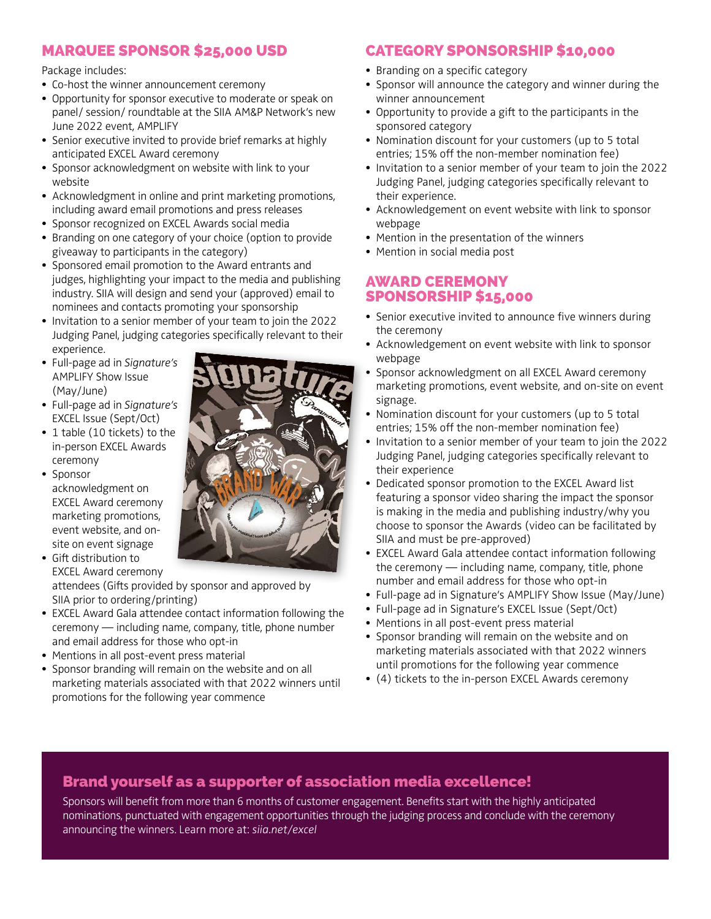## MARQUEE SPONSOR \$25,000 USD

Package includes:

- Co-host the winner announcement ceremony
- Opportunity for sponsor executive to moderate or speak on panel/ session/ roundtable at the SIIA AM&P Network's new June 2022 event, AMPLIFY
- Senior executive invited to provide brief remarks at highly anticipated EXCEL Award ceremony
- Sponsor acknowledgment on website with link to your website
- Acknowledgment in online and print marketing promotions, including award email promotions and press releases
- Sponsor recognized on EXCEL Awards social media
- Branding on one category of your choice (option to provide giveaway to participants in the category)
- Sponsored email promotion to the Award entrants and judges, highlighting your impact to the media and publishing industry. SIIA will design and send your (approved) email to nominees and contacts promoting your sponsorship
- Invitation to a senior member of your team to join the 2022 Judging Panel, judging categories specifically relevant to their experience.
- Full-page ad in *Signature's*  AMPLIFY Show Issue (May/June)
- Full-page ad in *Signature's*  EXCEL Issue (Sept/Oct)
- 1 table (10 tickets) to the in-person EXCEL Awards ceremony
- Sponsor acknowledgment on EXCEL Award ceremony marketing promotions, event website, and onsite on event signage
- Gift distribution to EXCEL Award ceremony

attendees (Gifts provided by sponsor and approved by SIIA prior to ordering/printing)

- EXCEL Award Gala attendee contact information following the ceremony — including name, company, title, phone number and email address for those who opt-in
- Mentions in all post-event press material
- Sponsor branding will remain on the website and on all marketing materials associated with that 2022 winners until promotions for the following year commence

# CATEGORY SPONSORSHIP \$10,000

- Branding on a specific category
- Sponsor will announce the category and winner during the winner announcement
- Opportunity to provide a gift to the participants in the sponsored category
- Nomination discount for your customers (up to 5 total entries; 15% off the non-member nomination fee)
- Invitation to a senior member of your team to join the 2022 Judging Panel, judging categories specifically relevant to their experience.
- Acknowledgement on event website with link to sponsor webpage
- Mention in the presentation of the winners
- Mention in social media post

### AWARD CEREMONY SPONSORSHIP \$15,000

- Senior executive invited to announce five winners during the ceremony
- Acknowledgement on event website with link to sponsor webpage
- Sponsor acknowledgment on all EXCEL Award ceremony marketing promotions, event website, and on-site on event signage.
- Nomination discount for your customers (up to 5 total entries; 15% off the non-member nomination fee)
- Invitation to a senior member of your team to join the 2022 Judging Panel, judging categories specifically relevant to their experience
- Dedicated sponsor promotion to the EXCEL Award list featuring a sponsor video sharing the impact the sponsor is making in the media and publishing industry/why you choose to sponsor the Awards (video can be facilitated by SIIA and must be pre-approved)
- EXCEL Award Gala attendee contact information following the ceremony — including name, company, title, phone number and email address for those who opt-in
- Full-page ad in Signature's AMPLIFY Show Issue (May/June)
- Full-page ad in Signature's EXCEL Issue (Sept/Oct)
- Mentions in all post-event press material
- Sponsor branding will remain on the website and on marketing materials associated with that 2022 winners until promotions for the following year commence
- (4) tickets to the in-person EXCEL Awards ceremony

# Brand yourself as a supporter of association media excellence!

Sponsors will benefit from more than 6 months of customer engagement. Benefits start with the highly anticipated nominations, punctuated with engagement opportunities through the judging process and conclude with the ceremony announcing the winners. Learn more at: *siia.net/excel*